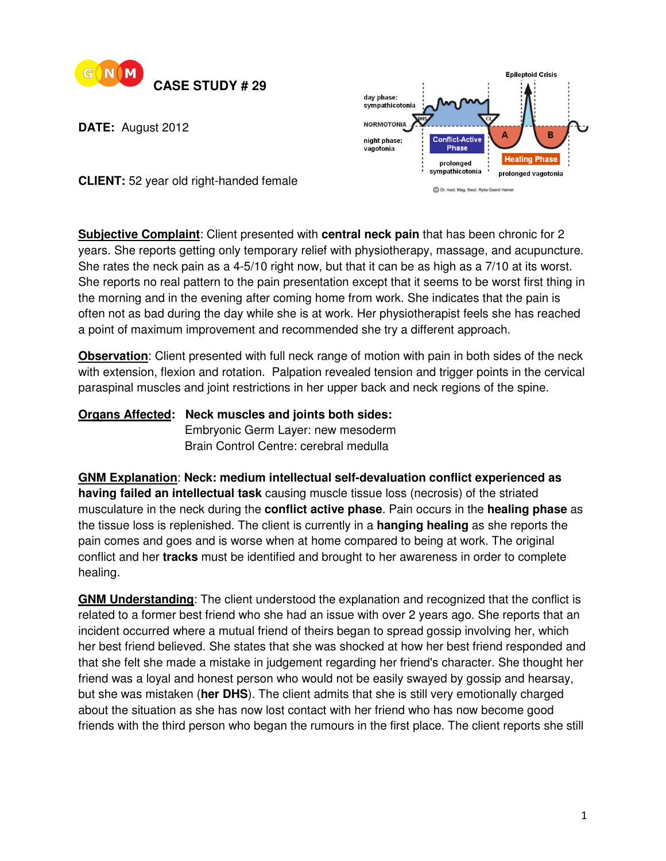

**DATE:** August 2012



**CLIENT:** 52 year old right-handed female

**Subjective Complaint**: Client presented with **central neck pain** that has been chronic for 2 years. She reports getting only temporary relief with physiotherapy, massage, and acupuncture. She rates the neck pain as a 4-5/10 right now, but that it can be as high as a 7/10 at its worst. She reports no real pattern to the pain presentation except that it seems to be worst first thing in the morning and in the evening after coming home from work. She indicates that the pain is often not as bad during the day while she is at work. Her physiotherapist feels she has reached a point of maximum improvement and recommended she try a different approach.

**Observation**: Client presented with full neck range of motion with pain in both sides of the neck with extension, flexion and rotation. Palpation revealed tension and trigger points in the cervical paraspinal muscles and joint restrictions in her upper back and neck regions of the spine.

## **Organs Affected: Neck muscles and joints both sides: Embryonic Germ Layer: new mesoderm** Brain Control Centre: cerebral medulla

**GNM Explanation**: **Neck: medium intellectual self-devaluation conflict experienced as having failed an intellectual task** causing muscle tissue loss (necrosis) of the striated musculature in the neck during the **conflict active phase**. Pain occurs in the **healing phase** as the tissue loss is replenished. The client is currently in a **hanging healing** as she reports the pain comes and goes and is worse when at home compared to being at work. The original conflict and her **tracks** must be identified and brought to her awareness in order to complete healing.

**GNM Understanding**: The client understood the explanation and recognized that the conflict is related to a former best friend who she had an issue with over 2 years ago. She reports that an incident occurred where a mutual friend of theirs began to spread gossip involving her, which her best friend believed. She states that she was shocked at how her best friend responded and that she felt she made a mistake in judgement regarding her friend's character. She thought her friend was a loyal and honest person who would not be easily swayed by gossip and hearsay, but she was mistaken (**her DHS**). The client admits that she is still very emotionally charged about the situation as she has now lost contact with her friend who has now become good friends with the third person who began the rumours in the first place. The client reports she still